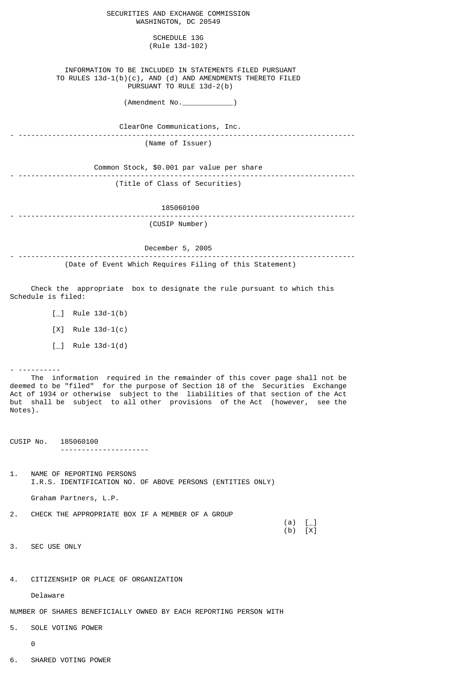| SECURITIES AND EXCHANGE COMMISSION<br>WASHINGTON, DC 20549                                                                                         |
|----------------------------------------------------------------------------------------------------------------------------------------------------|
| SCHEDULE 13G<br>(Rule 13d-102)                                                                                                                     |
| INFORMATION TO BE INCLUDED IN STATEMENTS FILED PURSUANT<br>TO RULES 13d-1(b)(c), AND (d) AND AMENDMENTS THERETO FILED<br>PURSUANT TO RULE 13d-2(b) |
| $(\text{Amendment No.})$                                                                                                                           |
| ClearOne Communications, Inc.                                                                                                                      |
| (Name of Issuer)                                                                                                                                   |
| Common Stock, \$0.001 par value per share                                                                                                          |
| (Title of Class of Securities)                                                                                                                     |
| 185060100                                                                                                                                          |
| (CUSIP Number)                                                                                                                                     |
| December 5, 2005                                                                                                                                   |
| (Date of Event Which Requires Filing of this Statement)                                                                                            |
| Check the appropriate box to designate the rule pursuant to which this<br>Schedule is filed:                                                       |
| $[-]$ Rule 13d-1(b)                                                                                                                                |
| $[X]$ Rule 13d-1(c)                                                                                                                                |
| $[-]$ Rule 13d-1(d)                                                                                                                                |

 The information required in the remainder of this cover page shall not be deemed to be "filed" for the purpose of Section 18 of the Securities Exchange Act of 1934 or otherwise subject to the liabilities of that section of the Act but shall be subject to all other provisions of the Act (however, see the Notes).

CUSIP No. 185060100 ---------------------

1. NAME OF REPORTING PERSONS I.R.S. IDENTIFICATION NO. OF ABOVE PERSONS (ENTITIES ONLY)

Graham Partners, L.P.

2. CHECK THE APPROPRIATE BOX IF A MEMBER OF A GROUP

 $(a)$   $\begin{bmatrix} \_ \end{bmatrix}$ (b)  $[X]$ 

3. SEC USE ONLY

- ----------

4. CITIZENSHIP OR PLACE OF ORGANIZATION

Delaware

NUMBER OF SHARES BENEFICIALLY OWNED BY EACH REPORTING PERSON WITH

5. SOLE VOTING POWER

0

6. SHARED VOTING POWER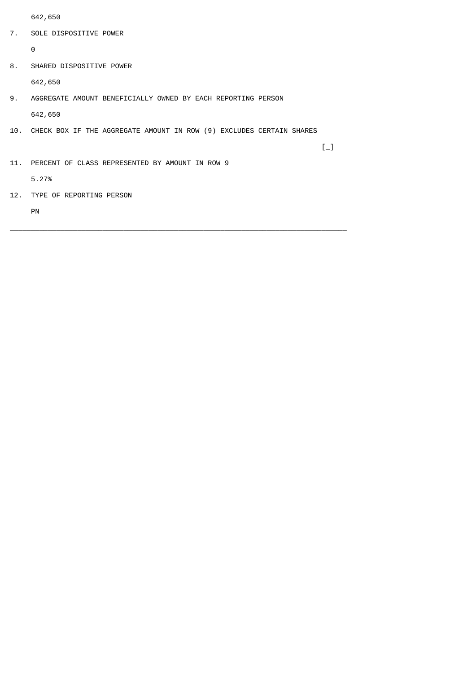642,650

7. SOLE DISPOSITIVE POWER

 $\Theta$ 

8. SHARED DISPOSITIVE POWER

642,650

- 9. AGGREGATE AMOUNT BENEFICIALLY OWNED BY EACH REPORTING PERSON 642,650
- 10. CHECK BOX IF THE AGGREGATE AMOUNT IN ROW (9) EXCLUDES CERTAIN SHARES

 $\left[\begin{smallmatrix} 1 & 1 \ 1 & 1 \end{smallmatrix}\right]$ 

\_\_\_\_\_\_\_\_\_\_\_\_\_\_\_\_\_\_\_\_\_\_\_\_\_\_\_\_\_\_\_\_\_\_\_\_\_\_\_\_\_\_\_\_\_\_\_\_\_\_\_\_\_\_\_\_\_\_\_\_\_\_\_\_\_\_\_\_\_\_\_\_\_\_\_\_\_\_\_\_

11. PERCENT OF CLASS REPRESENTED BY AMOUNT IN ROW 9

5.27%

12. TYPE OF REPORTING PERSON

PN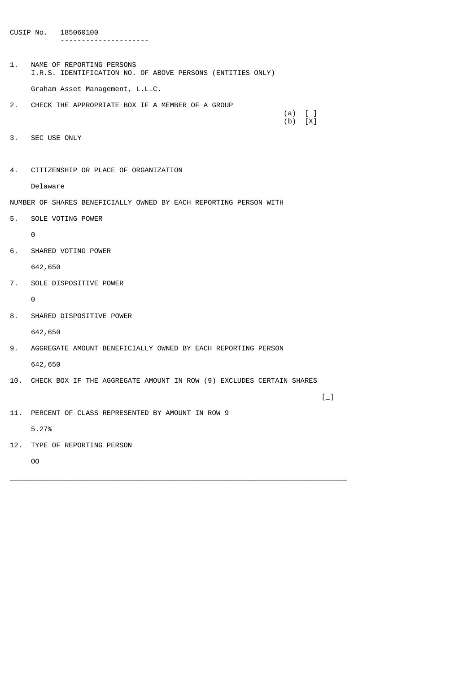CUSIP No. 185060100 ---------------------

1. NAME OF REPORTING PERSONS I.R.S. IDENTIFICATION NO. OF ABOVE PERSONS (ENTITIES ONLY) Graham Asset Management, L.L.C.

2. CHECK THE APPROPRIATE BOX IF A MEMBER OF A GROUP

- 3. SEC USE ONLY
- 4. CITIZENSHIP OR PLACE OF ORGANIZATION

Delaware

NUMBER OF SHARES BENEFICIALLY OWNED BY EACH REPORTING PERSON WITH

5. SOLE VOTING POWER

0

6. SHARED VOTING POWER

642,650

7. SOLE DISPOSITIVE POWER

 $\Omega$ 

8. SHARED DISPOSITIVE POWER

642,650

9. AGGREGATE AMOUNT BENEFICIALLY OWNED BY EACH REPORTING PERSON

642,650

10. CHECK BOX IF THE AGGREGATE AMOUNT IN ROW (9) EXCLUDES CERTAIN SHARES

\_\_\_\_\_\_\_\_\_\_\_\_\_\_\_\_\_\_\_\_\_\_\_\_\_\_\_\_\_\_\_\_\_\_\_\_\_\_\_\_\_\_\_\_\_\_\_\_\_\_\_\_\_\_\_\_\_\_\_\_\_\_\_\_\_\_\_\_\_\_\_\_\_\_\_\_\_\_\_\_

 $\left[\begin{smallmatrix} 1 & 1 \ 1 & 1 \end{smallmatrix}\right]$ 

 $(a)$  [\_] (b) [X]

11. PERCENT OF CLASS REPRESENTED BY AMOUNT IN ROW 9

5.27%

12. TYPE OF REPORTING PERSON

OO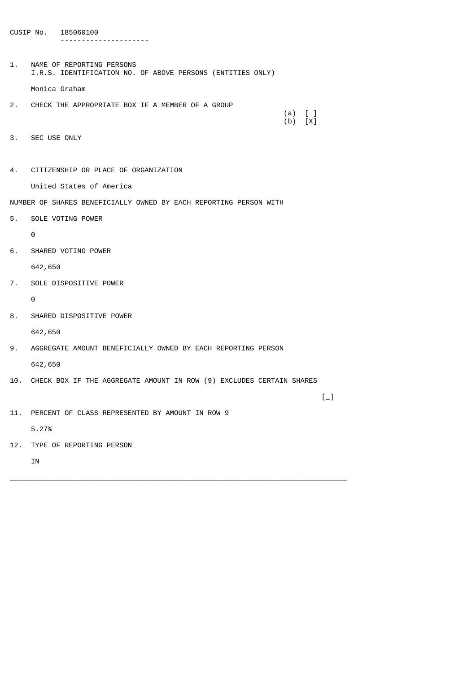CUSIP No. 185060100 ---------------------

1. NAME OF REPORTING PERSONS I.R.S. IDENTIFICATION NO. OF ABOVE PERSONS (ENTITIES ONLY) Monica Graham

- 2. CHECK THE APPROPRIATE BOX IF A MEMBER OF A GROUP
- $(a)$  [\_] (b) [X]

- 3. SEC USE ONLY
- 4. CITIZENSHIP OR PLACE OF ORGANIZATION

United States of America

NUMBER OF SHARES BENEFICIALLY OWNED BY EACH REPORTING PERSON WITH

5. SOLE VOTING POWER

0

6. SHARED VOTING POWER

642,650

7. SOLE DISPOSITIVE POWER

 $\Omega$ 

8. SHARED DISPOSITIVE POWER

642,650

9. AGGREGATE AMOUNT BENEFICIALLY OWNED BY EACH REPORTING PERSON

642,650

10. CHECK BOX IF THE AGGREGATE AMOUNT IN ROW (9) EXCLUDES CERTAIN SHARES

\_\_\_\_\_\_\_\_\_\_\_\_\_\_\_\_\_\_\_\_\_\_\_\_\_\_\_\_\_\_\_\_\_\_\_\_\_\_\_\_\_\_\_\_\_\_\_\_\_\_\_\_\_\_\_\_\_\_\_\_\_\_\_\_\_\_\_\_\_\_\_\_\_\_\_\_\_\_\_\_

 $\left[\begin{smallmatrix} 1 & 1 \ 1 & 1 \end{smallmatrix}\right]$ 

11. PERCENT OF CLASS REPRESENTED BY AMOUNT IN ROW 9

5.27%

12. TYPE OF REPORTING PERSON

IN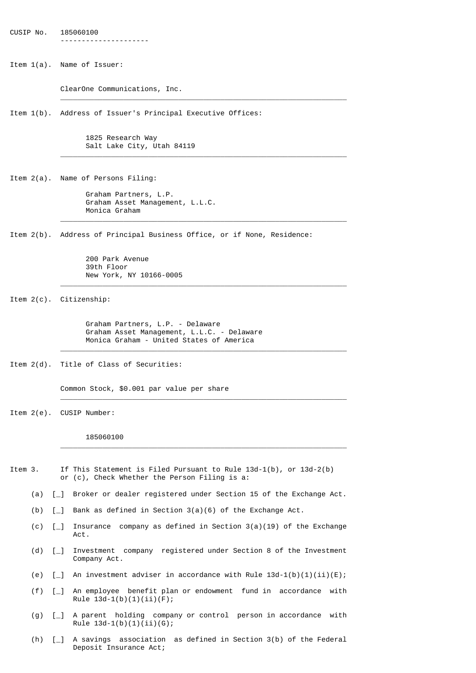CUSIP No. 185060100 ---------------------

Item 1(a). Name of Issuer:

ClearOne Communications, Inc.

Item 1(b). Address of Issuer's Principal Executive Offices:

 $\frac{1}{\sqrt{2}}$  ,  $\frac{1}{\sqrt{2}}$  ,  $\frac{1}{\sqrt{2}}$  ,  $\frac{1}{\sqrt{2}}$  ,  $\frac{1}{\sqrt{2}}$  ,  $\frac{1}{\sqrt{2}}$  ,  $\frac{1}{\sqrt{2}}$  ,  $\frac{1}{\sqrt{2}}$  ,  $\frac{1}{\sqrt{2}}$  ,  $\frac{1}{\sqrt{2}}$  ,  $\frac{1}{\sqrt{2}}$  ,  $\frac{1}{\sqrt{2}}$  ,  $\frac{1}{\sqrt{2}}$  ,  $\frac{1}{\sqrt{2}}$  ,  $\frac{1}{\sqrt{2}}$ 

 $\frac{1}{\sqrt{2}}$  ,  $\frac{1}{\sqrt{2}}$  ,  $\frac{1}{\sqrt{2}}$  ,  $\frac{1}{\sqrt{2}}$  ,  $\frac{1}{\sqrt{2}}$  ,  $\frac{1}{\sqrt{2}}$  ,  $\frac{1}{\sqrt{2}}$  ,  $\frac{1}{\sqrt{2}}$  ,  $\frac{1}{\sqrt{2}}$  ,  $\frac{1}{\sqrt{2}}$  ,  $\frac{1}{\sqrt{2}}$  ,  $\frac{1}{\sqrt{2}}$  ,  $\frac{1}{\sqrt{2}}$  ,  $\frac{1}{\sqrt{2}}$  ,  $\frac{1}{\sqrt{2}}$ 

 $\frac{1}{\sqrt{2}}$  ,  $\frac{1}{\sqrt{2}}$  ,  $\frac{1}{\sqrt{2}}$  ,  $\frac{1}{\sqrt{2}}$  ,  $\frac{1}{\sqrt{2}}$  ,  $\frac{1}{\sqrt{2}}$  ,  $\frac{1}{\sqrt{2}}$  ,  $\frac{1}{\sqrt{2}}$  ,  $\frac{1}{\sqrt{2}}$  ,  $\frac{1}{\sqrt{2}}$  ,  $\frac{1}{\sqrt{2}}$  ,  $\frac{1}{\sqrt{2}}$  ,  $\frac{1}{\sqrt{2}}$  ,  $\frac{1}{\sqrt{2}}$  ,  $\frac{1}{\sqrt{2}}$ 

 $\frac{1}{2}$  ,  $\frac{1}{2}$  ,  $\frac{1}{2}$  ,  $\frac{1}{2}$  ,  $\frac{1}{2}$  ,  $\frac{1}{2}$  ,  $\frac{1}{2}$  ,  $\frac{1}{2}$  ,  $\frac{1}{2}$  ,  $\frac{1}{2}$  ,  $\frac{1}{2}$  ,  $\frac{1}{2}$  ,  $\frac{1}{2}$  ,  $\frac{1}{2}$  ,  $\frac{1}{2}$  ,  $\frac{1}{2}$  ,  $\frac{1}{2}$  ,  $\frac{1}{2}$  ,  $\frac{1$ 

 1825 Research Way Salt Lake City, Utah 84119

Item 2(a). Name of Persons Filing:

 Graham Partners, L.P. Graham Asset Management, L.L.C. Monica Graham

Item 2(b). Address of Principal Business Office, or if None, Residence:

 200 Park Avenue 39th Floor New York, NY 10166-0005

Item 2(c). Citizenship:

 Graham Partners, L.P. - Delaware Graham Asset Management, L.L.C. - Delaware Monica Graham - United States of America

 $\overline{\phantom{a}}$  ,  $\overline{\phantom{a}}$  ,  $\overline{\phantom{a}}$  ,  $\overline{\phantom{a}}$  ,  $\overline{\phantom{a}}$  ,  $\overline{\phantom{a}}$  ,  $\overline{\phantom{a}}$  ,  $\overline{\phantom{a}}$  ,  $\overline{\phantom{a}}$  ,  $\overline{\phantom{a}}$  ,  $\overline{\phantom{a}}$  ,  $\overline{\phantom{a}}$  ,  $\overline{\phantom{a}}$  ,  $\overline{\phantom{a}}$  ,  $\overline{\phantom{a}}$  ,  $\overline{\phantom{a}}$ 

 $\overline{\phantom{a}}$  ,  $\overline{\phantom{a}}$  ,  $\overline{\phantom{a}}$  ,  $\overline{\phantom{a}}$  ,  $\overline{\phantom{a}}$  ,  $\overline{\phantom{a}}$  ,  $\overline{\phantom{a}}$  ,  $\overline{\phantom{a}}$  ,  $\overline{\phantom{a}}$  ,  $\overline{\phantom{a}}$  ,  $\overline{\phantom{a}}$  ,  $\overline{\phantom{a}}$  ,  $\overline{\phantom{a}}$  ,  $\overline{\phantom{a}}$  ,  $\overline{\phantom{a}}$  ,  $\overline{\phantom{a}}$ 

 $\overline{\phantom{a}}$  ,  $\overline{\phantom{a}}$  ,  $\overline{\phantom{a}}$  ,  $\overline{\phantom{a}}$  ,  $\overline{\phantom{a}}$  ,  $\overline{\phantom{a}}$  ,  $\overline{\phantom{a}}$  ,  $\overline{\phantom{a}}$  ,  $\overline{\phantom{a}}$  ,  $\overline{\phantom{a}}$  ,  $\overline{\phantom{a}}$  ,  $\overline{\phantom{a}}$  ,  $\overline{\phantom{a}}$  ,  $\overline{\phantom{a}}$  ,  $\overline{\phantom{a}}$  ,  $\overline{\phantom{a}}$ 

Item 2(d). Title of Class of Securities:

Common Stock, \$0.001 par value per share

Item 2(e). CUSIP Number:

185060100

- Item 3. If This Statement is Filed Pursuant to Rule 13d-1(b), or 13d-2(b) or (c), Check Whether the Person Filing is a:
	- (a) [\_] Broker or dealer registered under Section 15 of the Exchange Act.
	- (b)  $[-]$  Bank as defined in Section 3(a)(6) of the Exchange Act.
	- (c)  $\lbrack \rbrack$  Insurance company as defined in Section 3(a)(19) of the Exchange Act.
	- (d) [\_] Investment company registered under Section 8 of the Investment Company Act.
	- (e)  $\lceil \_ \rceil$  An investment adviser in accordance with Rule 13d-1(b)(1)(ii)(E);
	- (f) [\_] An employee benefit plan or endowment fund in accordance with Rule  $13d-1(b)(1)(ii)(F);$
	- (g) [\_] A parent holding company or control person in accordance with Rule  $13d-1(b)(1)(ii)(G);$
	- (h) [\_] A savings association as defined in Section 3(b) of the Federal Deposit Insurance Act;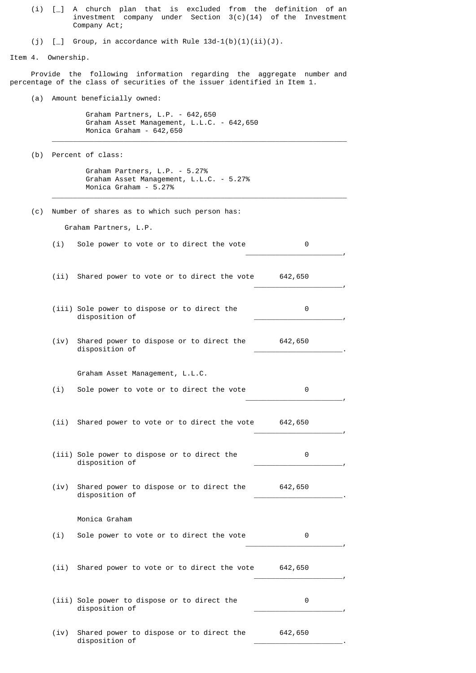|  | (i) $\lceil$ A church plan that is excluded from the definition of an |  |  |  |                                                               |  |  |  |
|--|-----------------------------------------------------------------------|--|--|--|---------------------------------------------------------------|--|--|--|
|  |                                                                       |  |  |  | investment company under Section $3(c)(14)$ of the Investment |  |  |  |
|  | Company Act:                                                          |  |  |  |                                                               |  |  |  |

(i)  $\lceil$  Group, in accordance with Rule 13d-1(b)(1)(ii)(J).

Item 4. Ownership.

 Provide the following information regarding the aggregate number and percentage of the class of securities of the issuer identified in Item 1.

(a) Amount beneficially owned:

 Graham Partners, L.P. - 642,650 Graham Asset Management, L.L.C. - 642,650 Monica Graham - 642,650

 $\overline{\phantom{a}}$  ,  $\overline{\phantom{a}}$  ,  $\overline{\phantom{a}}$  ,  $\overline{\phantom{a}}$  ,  $\overline{\phantom{a}}$  ,  $\overline{\phantom{a}}$  ,  $\overline{\phantom{a}}$  ,  $\overline{\phantom{a}}$  ,  $\overline{\phantom{a}}$  ,  $\overline{\phantom{a}}$  ,  $\overline{\phantom{a}}$  ,  $\overline{\phantom{a}}$  ,  $\overline{\phantom{a}}$  ,  $\overline{\phantom{a}}$  ,  $\overline{\phantom{a}}$  ,  $\overline{\phantom{a}}$ 

 $\overline{\phantom{a}}$  ,  $\overline{\phantom{a}}$  ,  $\overline{\phantom{a}}$  ,  $\overline{\phantom{a}}$  ,  $\overline{\phantom{a}}$  ,  $\overline{\phantom{a}}$  ,  $\overline{\phantom{a}}$  ,  $\overline{\phantom{a}}$  ,  $\overline{\phantom{a}}$  ,  $\overline{\phantom{a}}$  ,  $\overline{\phantom{a}}$  ,  $\overline{\phantom{a}}$  ,  $\overline{\phantom{a}}$  ,  $\overline{\phantom{a}}$  ,  $\overline{\phantom{a}}$  ,  $\overline{\phantom{a}}$ 

(b) Percent of class:

 Graham Partners, L.P. - 5.27% Graham Asset Management, L.L.C. - 5.27% Monica Graham - 5.27%

(c) Number of shares as to which such person has:

Graham Partners, L.P.

(i) Sole power to vote or to direct the vote 0  $\overline{\phantom{a}}$  , and the contract of the contract of the contract of the contract of the contract of the contract of the contract of the contract of the contract of the contract of the contract of the contract of the contrac

(ii) Shared power to vote or to direct the vote 642,650  $\overline{\phantom{a}}$  , and the contract of the contract of the contract of the contract of the contract of the contract of the contract of the contract of the contract of the contract of the contract of the contract of the contrac

- (iii) Sole power to dispose or to direct the 0 disposition of \_\_\_\_\_\_\_\_\_\_\_\_\_\_\_\_\_\_\_\_\_,
- (iv) Shared power to dispose or to direct the 642,650 disposition of \_\_\_\_\_\_\_\_\_\_\_\_\_\_\_\_\_\_\_\_\_.

Graham Asset Management, L.L.C.

(i) Sole power to vote or to direct the vote 0  $\overline{\phantom{a}}$  , and the contract of the contract of the contract of the contract of the contract of the contract of the contract of the contract of the contract of the contract of the contract of the contract of the contrac

(ii) Shared power to vote or to direct the vote 642,650  $\overline{\phantom{a}}$  , and the contract of the contract of the contract of the contract of the contract of the contract of the contract of the contract of the contract of the contract of the contract of the contract of the contrac

- (iii) Sole power to dispose or to direct the 0 disposition of \_\_\_\_\_\_\_\_\_\_\_\_\_\_\_\_\_\_\_\_\_,
- (iv) Shared power to dispose or to direct the 642,650 disposition of \_\_\_\_\_\_\_\_\_\_\_\_\_\_\_\_\_\_\_\_\_.

## Monica Graham

(i) Sole power to vote or to direct the vote 0

(ii) Shared power to vote or to direct the vote 642,650  $\overline{\phantom{a}}$  , and the contract of the contract of the contract of the contract of the contract of the contract of the contract of the contract of the contract of the contract of the contract of the contract of the contrac

 $\overline{\phantom{a}}$  , and the contract of the contract of the contract of the contract of the contract of the contract of the contract of the contract of the contract of the contract of the contract of the contract of the contrac

|                | (iii) Sole power to dispose or to direct the |  |
|----------------|----------------------------------------------|--|
| disposition of |                                              |  |

 (iv) Shared power to dispose or to direct the 642,650 disposition of \_\_\_\_\_\_\_\_\_\_\_\_\_\_\_\_\_\_\_\_\_.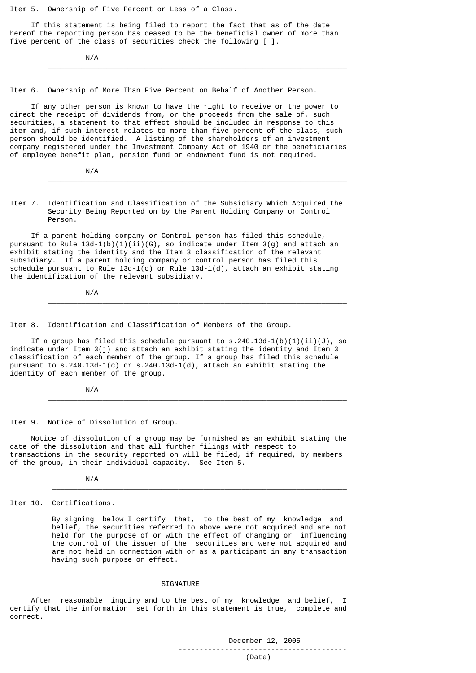Item 5. Ownership of Five Percent or Less of a Class.

 If this statement is being filed to report the fact that as of the date hereof the reporting person has ceased to be the beneficial owner of more than five percent of the class of securities check the following [ ].

 $\frac{1}{\sqrt{2}}$  ,  $\frac{1}{\sqrt{2}}$  ,  $\frac{1}{\sqrt{2}}$  ,  $\frac{1}{\sqrt{2}}$  ,  $\frac{1}{\sqrt{2}}$  ,  $\frac{1}{\sqrt{2}}$  ,  $\frac{1}{\sqrt{2}}$  ,  $\frac{1}{\sqrt{2}}$  ,  $\frac{1}{\sqrt{2}}$  ,  $\frac{1}{\sqrt{2}}$  ,  $\frac{1}{\sqrt{2}}$  ,  $\frac{1}{\sqrt{2}}$  ,  $\frac{1}{\sqrt{2}}$  ,  $\frac{1}{\sqrt{2}}$  ,  $\frac{1}{\sqrt{2}}$ 

N/A

Item 6. Ownership of More Than Five Percent on Behalf of Another Person.

 If any other person is known to have the right to receive or the power to direct the receipt of dividends from, or the proceeds from the sale of, such securities, a statement to that effect should be included in response to this item and, if such interest relates to more than five percent of the class, such person should be identified. A listing of the shareholders of an investment company registered under the Investment Company Act of 1940 or the beneficiaries of employee benefit plan, pension fund or endowment fund is not required.

N/A

Item 7. Identification and Classification of the Subsidiary Which Acquired the Security Being Reported on by the Parent Holding Company or Control Person.

 $\frac{1}{\sqrt{2}}$  ,  $\frac{1}{\sqrt{2}}$  ,  $\frac{1}{\sqrt{2}}$  ,  $\frac{1}{\sqrt{2}}$  ,  $\frac{1}{\sqrt{2}}$  ,  $\frac{1}{\sqrt{2}}$  ,  $\frac{1}{\sqrt{2}}$  ,  $\frac{1}{\sqrt{2}}$  ,  $\frac{1}{\sqrt{2}}$  ,  $\frac{1}{\sqrt{2}}$  ,  $\frac{1}{\sqrt{2}}$  ,  $\frac{1}{\sqrt{2}}$  ,  $\frac{1}{\sqrt{2}}$  ,  $\frac{1}{\sqrt{2}}$  ,  $\frac{1}{\sqrt{2}}$ 

 If a parent holding company or Control person has filed this schedule, pursuant to Rule  $13d-1(b)(1)(ii)(G)$ , so indicate under Item 3(g) and attach an exhibit stating the identity and the Item 3 classification of the relevant subsidiary. If a parent holding company or control person has filed this schedule pursuant to Rule 13d-1(c) or Rule 13d-1(d), attach an exhibit stating the identification of the relevant subsidiary.

N/A

Item 8. Identification and Classification of Members of the Group.

If a group has filed this schedule pursuant to  $s.240.13d-1(b)(1)(ii)(J)$ , so indicate under Item 3(j) and attach an exhibit stating the identity and Item 3 classification of each member of the group. If a group has filed this schedule pursuant to s.240.13d-1(c) or s.240.13d-1(d), attach an exhibit stating the identity of each member of the group.

 $\frac{1}{2}$  ,  $\frac{1}{2}$  ,  $\frac{1}{2}$  ,  $\frac{1}{2}$  ,  $\frac{1}{2}$  ,  $\frac{1}{2}$  ,  $\frac{1}{2}$  ,  $\frac{1}{2}$  ,  $\frac{1}{2}$  ,  $\frac{1}{2}$  ,  $\frac{1}{2}$  ,  $\frac{1}{2}$  ,  $\frac{1}{2}$  ,  $\frac{1}{2}$  ,  $\frac{1}{2}$  ,  $\frac{1}{2}$  ,  $\frac{1}{2}$  ,  $\frac{1}{2}$  ,  $\frac{1$ 

 $\frac{1}{2}$  ,  $\frac{1}{2}$  ,  $\frac{1}{2}$  ,  $\frac{1}{2}$  ,  $\frac{1}{2}$  ,  $\frac{1}{2}$  ,  $\frac{1}{2}$  ,  $\frac{1}{2}$  ,  $\frac{1}{2}$  ,  $\frac{1}{2}$  ,  $\frac{1}{2}$  ,  $\frac{1}{2}$  ,  $\frac{1}{2}$  ,  $\frac{1}{2}$  ,  $\frac{1}{2}$  ,  $\frac{1}{2}$  ,  $\frac{1}{2}$  ,  $\frac{1}{2}$  ,  $\frac{1$ 

N/A

Item 9. Notice of Dissolution of Group.

 Notice of dissolution of a group may be furnished as an exhibit stating the date of the dissolution and that all further filings with respect to transactions in the security reported on will be filed, if required, by members of the group, in their individual capacity. See Item 5.

 $\overline{\phantom{a}}$  ,  $\overline{\phantom{a}}$  ,  $\overline{\phantom{a}}$  ,  $\overline{\phantom{a}}$  ,  $\overline{\phantom{a}}$  ,  $\overline{\phantom{a}}$  ,  $\overline{\phantom{a}}$  ,  $\overline{\phantom{a}}$  ,  $\overline{\phantom{a}}$  ,  $\overline{\phantom{a}}$  ,  $\overline{\phantom{a}}$  ,  $\overline{\phantom{a}}$  ,  $\overline{\phantom{a}}$  ,  $\overline{\phantom{a}}$  ,  $\overline{\phantom{a}}$  ,  $\overline{\phantom{a}}$ 

N/A

Item 10. Certifications.

 By signing below I certify that, to the best of my knowledge and belief, the securities referred to above were not acquired and are not held for the purpose of or with the effect of changing or influencing the control of the issuer of the securities and were not acquired and are not held in connection with or as a participant in any transaction having such purpose or effect.

## **STGNATURE**

 After reasonable inquiry and to the best of my knowledge and belief, I certify that the information set forth in this statement is true, complete and correct.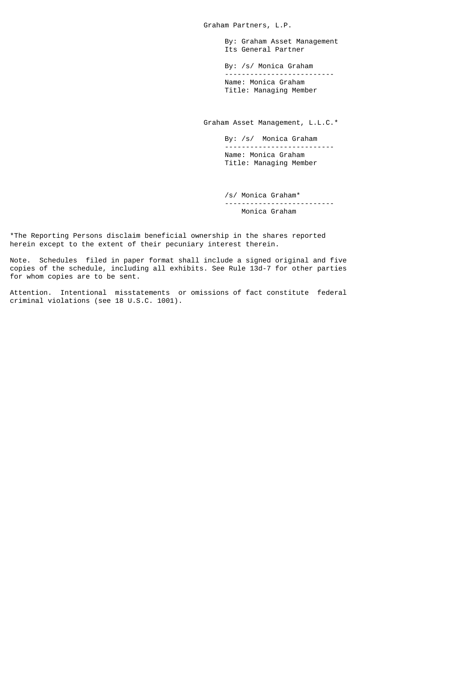Graham Partners, L.P.

 By: Graham Asset Management Its General Partner

By: /s/ Monica Graham<br>-------------------------- -------------------------- Name: Monica Graham Title: Managing Member

Graham Asset Management, L.L.C.\*

 By: /s/ Monica Graham -------------------------- Name: Monica Graham Title: Managing Member

 /s/ Monica Graham\* -------------------------- Monica Graham

\*The Reporting Persons disclaim beneficial ownership in the shares reported herein except to the extent of their pecuniary interest therein.

Note. Schedules filed in paper format shall include a signed original and five copies of the schedule, including all exhibits. See Rule 13d-7 for other parties for whom copies are to be sent.

Attention. Intentional misstatements or omissions of fact constitute federal criminal violations (see 18 U.S.C. 1001).